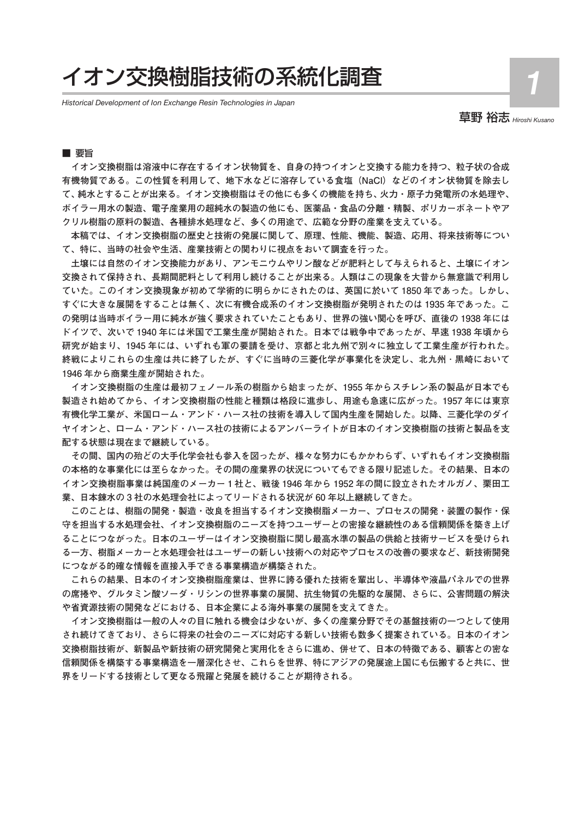# イオン交換樹脂技術の系統化調査

*Historical Development of Ion Exchange Resin Technologies in Japan*

草野 裕志 *Hiroshi Kusano*

**1**

#### ■ 要旨

**イオン交換樹脂は溶液中に存在するイオン状物質を、自身の持つイオンと交換する能力を持つ、粒子状の合成 有機物質である。この性質を利用して、地下水などに溶存している食塩(NaCl)などのイオン状物質を除去し て、純水とすることが出来る。イオン交換樹脂はその他にも多くの機能を持ち、火力・原子力発電所の水処理や、 ボイラー用水の製造、電子産業用の超純水の製造の他にも、医薬品・食品の分離・精製、ポリカーボネートやア クリル樹脂の原料の製造、各種排水処理など、多くの用途で、広範な分野の産業を支えている。**

**本稿では、イオン交換樹脂の歴史と技術の発展に関して、原理、性能、機能、製造、応用、将来技術等につい て、特に、当時の社会や生活、産業技術との関わりに視点をおいて調査を行った。**

**土壌には自然のイオン交換能力があり、アンモニウムやリン酸などが肥料として与えられると、土壌にイオン 交換されて保持され、長期間肥料として利用し続けることが出来る。人類はこの現象を大昔から無意識で利用し ていた。このイオン交換現象が初めて学術的に明らかにされたのは、英国に於いて 1850 年であった。しかし、 すぐに大きな展開をすることは無く、次に有機合成系のイオン交換樹脂が発明されたのは 1935 年であった。こ の発明は当時ボイラー用に純水が強く要求されていたこともあり、世界の強い関心を呼び、直後の 1938 年には ドイツで、次いで 1940 年には米国で工業生産が開始された。日本では戦争中であったが、早速 1938 年頃から 研究が始まり、1945 年には、いずれも軍の要請を受け、京都と北九州で別々に独立して工業生産が行われた。 終戦によりこれらの生産は共に終了したが、すぐに当時の三菱化学が事業化を決定し、北九州 ・ 黒崎において 1946 年から商業生産が開始された。**

**イオン交換樹脂の生産は最初フェノール系の樹脂から始まったが、1955 年からスチレン系の製品が日本でも 製造され始めてから、イオン交換樹脂の性能と種類は格段に進歩し、用途も急速に広がった。1957 年には東京 有機化学工業が、米国ローム・アンド・ハース社の技術を導入して国内生産を開始した。以降、三菱化学のダイ ヤイオンと、ローム・アンド・ハース社の技術によるアンバーライトが日本のイオン交換樹脂の技術と製品を支 配する状態は現在まで継続している。**

**その間、国内の殆どの大手化学会社も参入を図ったが、様々な努力にもかかわらず、いずれもイオン交換樹脂 の本格的な事業化には至らなかった。その間の産業界の状況についてもできる限り記述した。その結果、日本の イオン交換樹脂事業は純国産のメーカー1社と、戦後 1946 年から 1952 年の間に設立されたオルガノ、栗田工 業、日本錬水の 3 社の水処理会社によってリードされる状況が 60 年以上継続してきた。**

**このことは、樹脂の開発・製造・改良を担当するイオン交換樹脂メーカー、プロセスの開発・装置の製作・保 守を担当する水処理会社、イオン交換樹脂のニーズを持つユーザーとの密接な継続性のある信頼関係を築き上げ ることにつながった。日本のユーザーはイオン交換樹脂に関し最高水準の製品の供給と技術サービスを受けられ る一方、樹脂メーカーと水処理会社はユーザーの新しい技術への対応やプロセスの改善の要求など、新技術開発 につながる的確な情報を直接入手できる事業構造が構築された。**

**これらの結果、日本のイオン交換樹脂産業は、世界に誇る優れた技術を輩出し、半導体や液晶パネルでの世界 の席捲や、グルタミン酸ソーダ・リシンの世界事業の展開、抗生物質の先駆的な展開、さらに、公害問題の解決 や省資源技術の開発などにおける、日本企業による海外事業の展開を支えてきた。**

**イオン交換樹脂は一般の人々の目に触れる機会は少ないが、多くの産業分野でその基盤技術の一つとして使用 され続けてきており、さらに将来の社会のニーズに対応する新しい技術も数多く提案されている。日本のイオン 交換樹脂技術が、新製品や新技術の研究開発と実用化をさらに進め、併せて、日本の特徴である、顧客との密な 信頼関係を構築する事業構造を一層深化させ、これらを世界、特にアジアの発展途上国にも伝搬すると共に、世 界をリードする技術として更なる飛躍と発展を続けることが期待される。**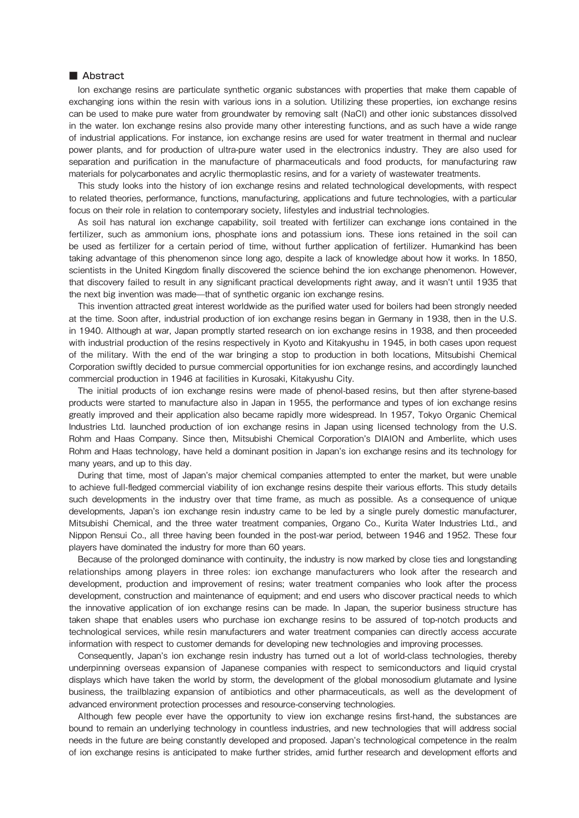#### ■ Abstract

Ion exchange resins are particulate synthetic organic substances with properties that make them capable of exchanging ions within the resin with various ions in a solution. Utilizing these properties, ion exchange resins can be used to make pure water from groundwater by removing salt (NaCl) and other ionic substances dissolved in the water. Ion exchange resins also provide many other interesting functions, and as such have a wide range of industrial applications. For instance, ion exchange resins are used for water treatment in thermal and nuclear power plants, and for production of ultra-pure water used in the electronics industry. They are also used for separation and purification in the manufacture of pharmaceuticals and food products, for manufacturing raw materials for polycarbonates and acrylic thermoplastic resins, and for a variety of wastewater treatments.

This study looks into the history of ion exchange resins and related technological developments, with respect to related theories, performance, functions, manufacturing, applications and future technologies, with a particular focus on their role in relation to contemporary society, lifestyles and industrial technologies.

As soil has natural ion exchange capability, soil treated with fertilizer can exchange ions contained in the fertilizer, such as ammonium ions, phosphate ions and potassium ions. These ions retained in the soil can be used as fertilizer for a certain period of time, without further application of fertilizer. Humankind has been taking advantage of this phenomenon since long ago, despite a lack of knowledge about how it works. In 1850, scientists in the United Kingdom finally discovered the science behind the ion exchange phenomenon. However, that discovery failed to result in any significant practical developments right away, and it wasn't until 1935 that the next big invention was made—that of synthetic organic ion exchange resins.

This invention attracted great interest worldwide as the purified water used for boilers had been strongly needed at the time. Soon after, industrial production of ion exchange resins began in Germany in 1938, then in the U.S. in 1940. Although at war, Japan promptly started research on ion exchange resins in 1938, and then proceeded with industrial production of the resins respectively in Kyoto and Kitakyushu in 1945, in both cases upon request of the military. With the end of the war bringing a stop to production in both locations, Mitsubishi Chemical Corporation swiftly decided to pursue commercial opportunities for ion exchange resins, and accordingly launched commercial production in 1946 at facilities in Kurosaki, Kitakyushu City.

The initial products of ion exchange resins were made of phenol-based resins, but then after styrene-based products were started to manufacture also in Japan in 1955, the performance and types of ion exchange resins greatly improved and their application also became rapidly more widespread. In 1957, Tokyo Organic Chemical Industries Ltd. launched production of ion exchange resins in Japan using licensed technology from the U.S. Rohm and Haas Company. Since then, Mitsubishi Chemical Corporation's DIAION and Amberlite, which uses Rohm and Haas technology, have held a dominant position in Japan's ion exchange resins and its technology for many years, and up to this day.

During that time, most of Japan's major chemical companies attempted to enter the market, but were unable to achieve full-fledged commercial viability of ion exchange resins despite their various efforts. This study details such developments in the industry over that time frame, as much as possible. As a consequence of unique developments, Japan's ion exchange resin industry came to be led by a single purely domestic manufacturer, Mitsubishi Chemical, and the three water treatment companies, Organo Co., Kurita Water Industries Ltd., and Nippon Rensui Co., all three having been founded in the post-war period, between 1946 and 1952. These four players have dominated the industry for more than 60 years.

Because of the prolonged dominance with continuity, the industry is now marked by close ties and longstanding relationships among players in three roles: ion exchange manufacturers who look after the research and development, production and improvement of resins; water treatment companies who look after the process development, construction and maintenance of equipment; and end users who discover practical needs to which the innovative application of ion exchange resins can be made. In Japan, the superior business structure has taken shape that enables users who purchase ion exchange resins to be assured of top-notch products and technological services, while resin manufacturers and water treatment companies can directly access accurate information with respect to customer demands for developing new technologies and improving processes.

Consequently, Japan's ion exchange resin industry has turned out a lot of world-class technologies, thereby underpinning overseas expansion of Japanese companies with respect to semiconductors and liquid crystal displays which have taken the world by storm, the development of the global monosodium glutamate and lysine business, the trailblazing expansion of antibiotics and other pharmaceuticals, as well as the development of advanced environment protection processes and resource-conserving technologies.

Although few people ever have the opportunity to view ion exchange resins first-hand, the substances are bound to remain an underlying technology in countless industries, and new technologies that will address social needs in the future are being constantly developed and proposed. Japan's technological competence in the realm of ion exchange resins is anticipated to make further strides, amid further research and development efforts and